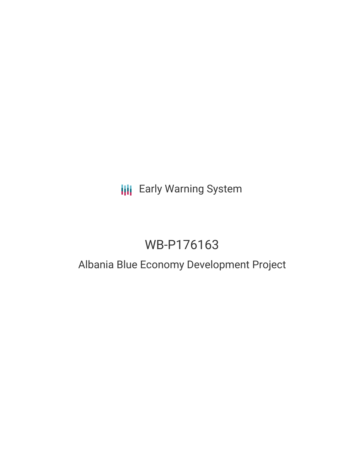# **III** Early Warning System

# WB-P176163

# Albania Blue Economy Development Project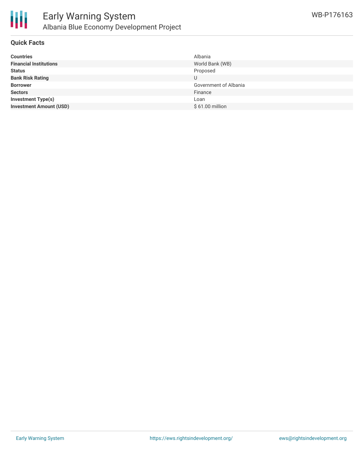

### **Quick Facts**

| <b>Countries</b>               | Albania               |
|--------------------------------|-----------------------|
| <b>Financial Institutions</b>  | World Bank (WB)       |
| <b>Status</b>                  | Proposed              |
| <b>Bank Risk Rating</b>        | U                     |
| <b>Borrower</b>                | Government of Albania |
| <b>Sectors</b>                 | Finance               |
| <b>Investment Type(s)</b>      | Loan                  |
| <b>Investment Amount (USD)</b> | $$61.00$ million      |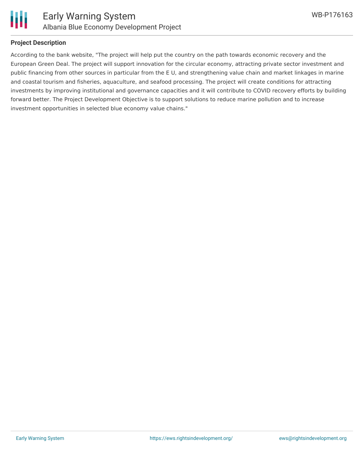

## **Project Description**

According to the bank website, "The project will help put the country on the path towards economic recovery and the European Green Deal. The project will support innovation for the circular economy, attracting private sector investment and public financing from other sources in particular from the E U, and strengthening value chain and market linkages in marine and coastal tourism and fisheries, aquaculture, and seafood processing. The project will create conditions for attracting investments by improving institutional and governance capacities and it will contribute to COVID recovery efforts by building forward better. The Project Development Objective is to support solutions to reduce marine pollution and to increase investment opportunities in selected blue economy value chains."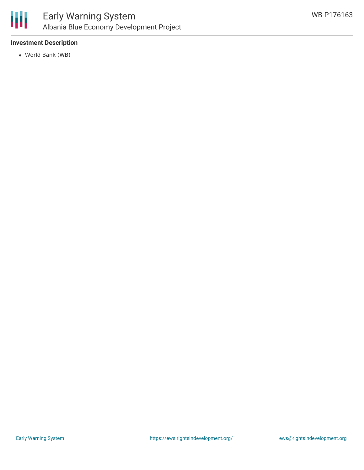

# **Investment Description**

World Bank (WB)